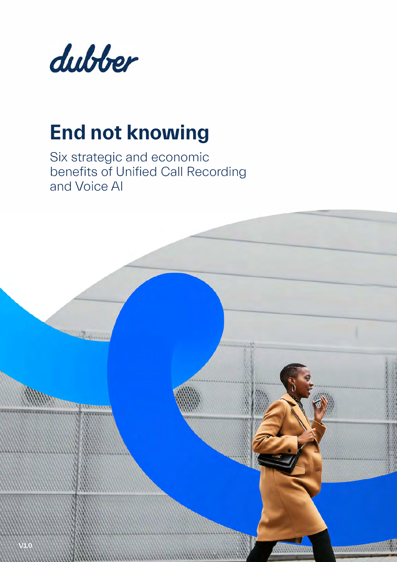

# **End not knowing**

Six strategic and economic benefits of Unified Call Recording and Voice Al

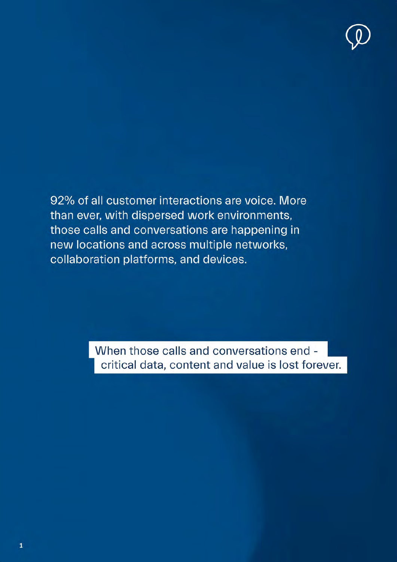

92% of all customer interactions are voice. More than ever, with dispersed work environments, those calls and conversations are happening in new locations and across multiple networks, collaboration platforms, and devices.

> When those calls and conversations end critical data, content and value is lost forever.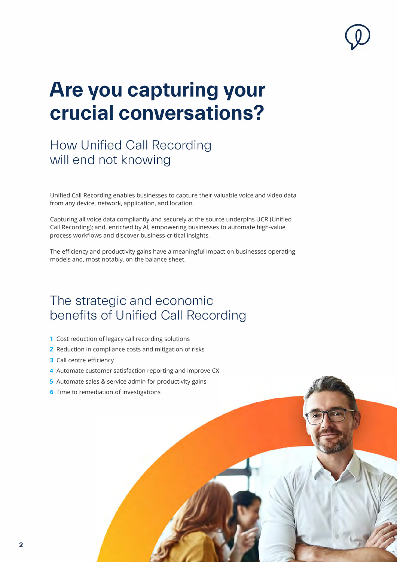

# **Are you capturing your crucial conversations?**

## **How Unified Call Recording will end not knowing**

Unified Call Recording enables businesses to capture their valuable voice and video data from any device, network, application, and location.

Capturing all voice data compliantly and securely at the source underpins UCR (Unified Call Recording); and, enriched by Al, empowering businesses to automate high-value process workflows and discover business-critical insights.

The efficiency and productivity gains have a meaningful impact on businesses operating models and, most notably, on the balance sheet.

## **The strategic and economic benefits of Unified Call Recording**

- 1 Cost reduction of legacy call recording solutions
- **2** Reduction in compliance costs and mitigation of risks
- **3** Call centre efficiency
- 4 Automate customer satisfaction reporting and improve CX
- 5 Automate sales & service admin for productivity gains
- **6** Time to remediation of investigations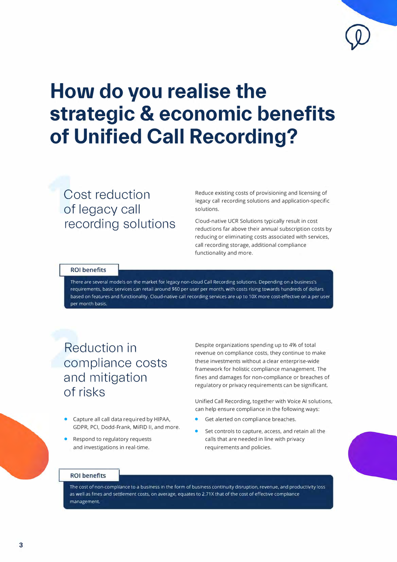# **How do you realise the strategic & economic benefits of Unified Call Recording?**

## **Cost reduction of legacy call recording solutions**

Reduce existing costs of provisioning and licensing of legacy call recording solutions and application-specific solutions.

Cloud-native UCR Solutions typically result in cost reductions far above their annual subscription costs by reducing or eliminating costs associated with services, call recording storage, additional compliance functionality and more.

### **ROI benefits**

There are several models on the market for legacy non-cloud Call Recording solutions. Depending on a business's requirements, basic services can retail around \$60 per user per month, with costs rising towards hundreds of dollars based on features and functionality. Cloud-native call recording services are up to 10X more cost-effective on a per user per month basis

## **Reduction in compliance costs and mitigation of risks**

- Capture all call data required by HIPAA, GDPR, PCI, Dodd-Frank, MiFID 11, and more.
- Respond to regulatory requests and investigations in real-time.

Despite organizations spending up to 4% of total revenue on compliance costs, they continue to make these investments without a clear enterprise-wide framework for holistic compliance management. The fines and damages for non-compliance or breaches of regulatory or privacy requirements can be significant.

Unified Call Recording, together with Voice Al solutions, can help ensure compliance in the following ways:

- Get alerted on compliance breaches.
- Set controls to capture, access, and retain all the calls that are needed in line with privacy requirements and policies.

### **ROI** benefits

The cost of non-compliance to a business in the form of business continuity disruption, revenue, and productivity loss as well as fines and settlement costs, on average, equates to 2.71X that of the cost of effective compliance management.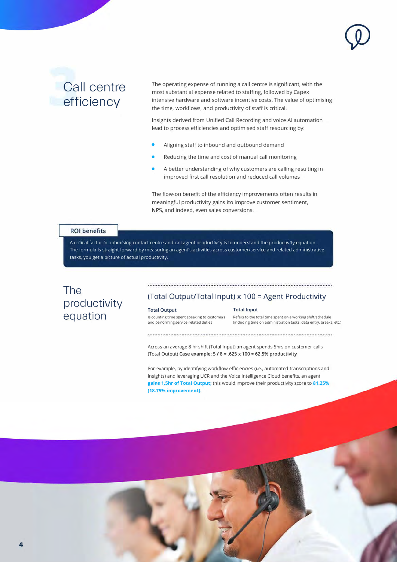## **Call centre efficiency**

The operating expense of running a call centre is significant, with the most substantial expense related to staffing, followed by Capex intensive hardware and software incentive costs. The value of optimising the time, workflows, and productivity of staff is critical.

Insights derived from Unified Call Recording and voice Al automation lead to process efficiencies and optimised staff resourcing by:

- Aligning staff to inbound and outbound demand
- Reducing the time and cost of manual call monitoring
- A better understanding of why customers are calling resulting in improved first call resolution and reduced call volumes

The flow-on benefit of the efficiency improvements often results in meaningful productivity gains ito improve customer sentiment, NPS, and indeed, even sales conversions.

#### **ROI** benefits

A critical factor in optimising contact centre and call agent productivity is to understand the productivity equation. The formula is straight forward by measuring an agent's activities across customer/service and related administrative tasks, you get a picture of actual productivity.

### **The productivity equation**

### **(Total Output/Total Input) x 100 = Agent Productivity**

#### **Total Output Total Input**

Is counting time spent speaking to customers Refers to the total time spent on a working shift/schedule<br>
and performing service-related duties (including time on administration tasks, data entry, breaks **and performing service-related duties (including time on administration tasks, data entry, breaks, etc.)** 

...........................

Across an average 8 hr shift (Total Input) an agent spends Shrs on customer calls (Total Output) **Case example: 5** / **8** = **.625 x 100** = **62.5% productivity** 

For example, by identifying workflow efficiencies (i.e., automated transcriptions and insights) and leveraging UCR and the Voice Intelligence Cloud benefits, an agent **gains 1.5hr of Total Output;** this would improve their productivity score to **81.25% (18.75% improvement).**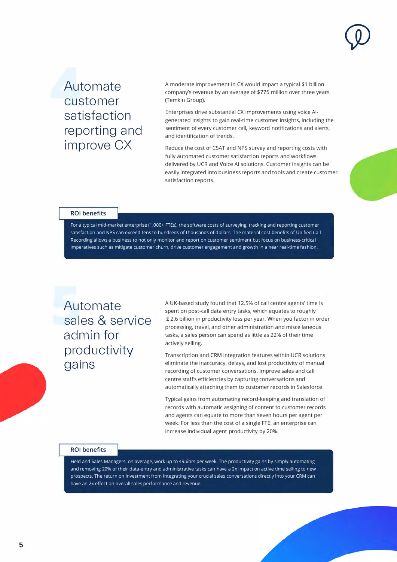

## **Automate customer satisfaction reporting and improve CX**

A moderate improvement in CX would impact a typical \$1 billion company's revenue by an average of \$775 million over three years (Temkin Group).

Enterprises drive substantial CX improvements using voice Algenerated insights to gain real-time customer insights, including the sentiment of every customer call, keyword notifications and alerts, and identification of trends.

Reduce the cost of CSAT and NPS survey and reporting costs with fully automated customer satisfaction reports and workflows delivered by UCR and Voice Al solutions. Customer insights can be easily integrated into business reports and tools and create customer satisfaction reports.

#### **ROI benefits**

For a typical mid-market enterprise (1,000+ FTEs), the software costs of surveying, tracking and reporting customer satisfaction and NPS can exceed tens to hundreds of thousands of dollars. The material cost benefits of Unified Call Recording allows a business to not only monitor and report on customer sentiment but focus on business-critical imperatives such as mitigate customer churn, drive customer engagement and growth in a near real-time fashion.

**Automate sales & service admin for productivity gains** 

A UK-based study found that 12.5% of call centre agents' time is spent on post-call data entry tasks, which equates to roughly £ 2.6 billion in productivity loss per year. When you factor in order processing, travel, and other administration and miscellaneous tasks, a sales person can spend as little as 22% of their time actively selling.

Transcription and CRM integration features within UCR solutions eliminate the inaccuracy, delays, and lost productivity of manual recording of customer conversations. Improve sales and call centre staffs efficiencies by capturing conversations and automatically attaching them to customer records in Salesforce.

Typical gains from automating record-keeping and translation of records with automatic assigning of content to customer records and agents can equate to more than seven hours per agent per week. For less than the cost of a single FTE, an enterprise can increase individual agent productivity by 20%.

#### **ROI benefits**

Field and Sales Managers, on average, work up to 49.6hrs per week. The productivity gains by simply automating and removing 20% of their data-entry and administrative tasks can have a 2x impact on active time selling to new prospects. The return on investment from integrating your crucial sales conversations directly into your CRM can have an 2x effect on overall sales performance and revenue.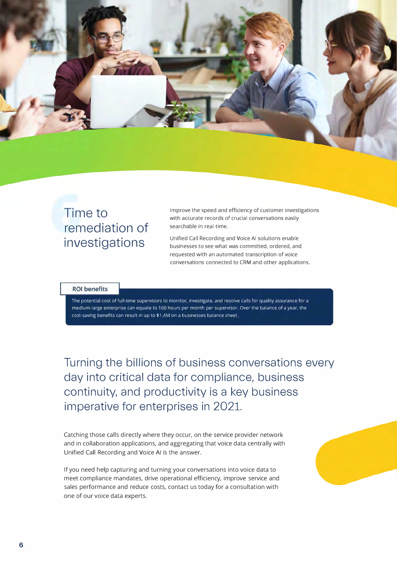

## Time to remediation of investigations

Improve the speed and efficiency of customer investigations with accurate records of crucial conversations easily searchable in real-time.

Unified Call Recording and Voice Al solutions enable businesses to see what was committed, ordered, and requested with an automated transcription of voice conversations connected to CRM and other applications.

#### **ROI** benefits

The potential cost of full-time supervisors to monitor, investigate, and resolve calls for quality assurance for a medium-large enterprise can equate to 160 hours per month per supervisor. Over the balance of a year, the cost-saving benefits can result in up to \$1.4M on a businesses balance sheet.

Turning the billions of business conversations every day into critical data for compliance, business continuity, and productivity is a key business imperative for enterprises in 2021.

Catching those calls directly where they occur, on the service provider network and in collaboration applications, and aggregating that voice data centrally with Unified Call Recording and Voice Al is the answer.

If you need help capturing and turning your conversations into voice data to meet compliance mandates, drive operational efficiency, improve service and sales performance and reduce costs, contact us today for a consultation with one of our voice data experts.

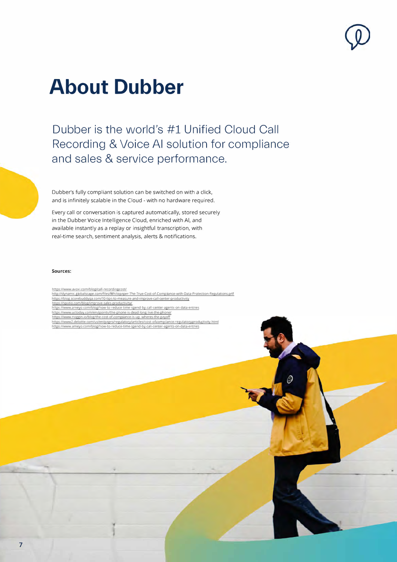# **About Dubber**

Dubber is the world's #1 Unified Cloud Call Recording & Voice Al solution for compliance and sales & service performance.

Dubber's fully compliant solution can be switched on with a click, and is infinitely scalable in the Cloud - with no hardware required.

Every call or conversation is captured automatically, stored securely in the Dubber Voice Intelligence Cloud, enriched with Al, and available instantly as a replay or insightful transcription, with real-time search, sentiment analysis, alerts & notifications.

#### **Sources:**

https://www.avoxi.com/blog/call-recordingcost/ http://dynamic.globalscape.com/files/Whitepaper-The-True-Cost-of-Comp lance-with-Data-Protection-Regulations.pdf https://blog.scorebuddyqa.com/10-tips-to-measure-and-improve-call-center-productivity

https://spotio.com/blog/improve-sales-productivity/

https://www.ameyo.com/blog/how-to-reduce-time-spend-by-call-center-agents-on-data-entries

https://www.uctoday.com/endpoints/the-phone-is-dead-long-live-the-phone/

https://www.noggin.io/blog/the-cost-of-compliance-is-up.-wheres-the-payoff<br>https://www2.deloitte.com/us/en/pages/regulatory/articles/cost-of-compliance-regulatory-productivity.html https://www.ameyo.com/blog/how-to-reduce-tirne-spend-by-call-center-agents-on-data-entries